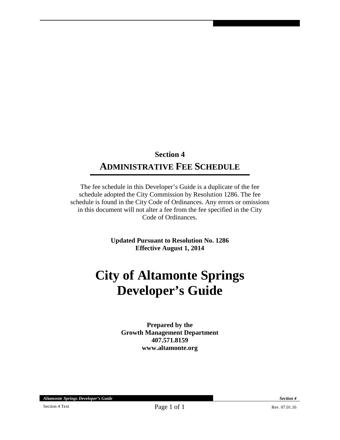## **Section 4 ADMINISTRATIVE FEE SCHEDULE**

The fee schedule in this Developer's Guide is a duplicate of the fee schedule adopted the City Commission by Resolution 1286. The fee schedule is found in the City Code of Ordinances. Any errors or omissions in this document will not alter a fee from the fee specified in the City Code of Ordinances.

> **Updated Pursuant to Resolution No. 1286 Effective August 1, 2014**

# **City of Altamonte Springs Developer's Guide**

**Prepared by the Growth Management Department 407.571.8159 www.altamonte.org** 

*Altamonte Springs Developer's Guide Section 4*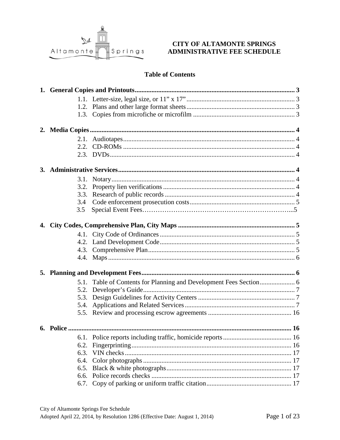

#### **CITY OF ALTAMONTE SPRINGS** ADMINISTRATIVE FEE SCHEDULE

### **Table of Contents**

| 3.3. |  |
|------|--|
| 3.4  |  |
| 3.5  |  |
|      |  |
|      |  |
|      |  |
|      |  |
|      |  |
|      |  |
|      |  |
|      |  |
| 5.3. |  |
|      |  |
|      |  |
|      |  |
|      |  |
| 6.2. |  |
| 6.3. |  |
| 6.4. |  |
| 6.5. |  |
| 6.6. |  |
| 6.7. |  |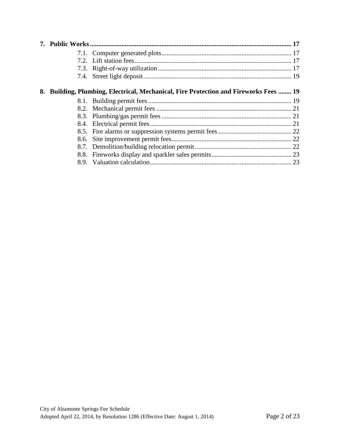| 8. | <b>Building, Plumbing, Electrical, Mechanical, Fire Protection and Fireworks Fees 19</b> |  |
|----|------------------------------------------------------------------------------------------|--|
|    |                                                                                          |  |
|    |                                                                                          |  |
|    |                                                                                          |  |
|    |                                                                                          |  |
|    |                                                                                          |  |
|    |                                                                                          |  |
|    |                                                                                          |  |
|    |                                                                                          |  |
|    |                                                                                          |  |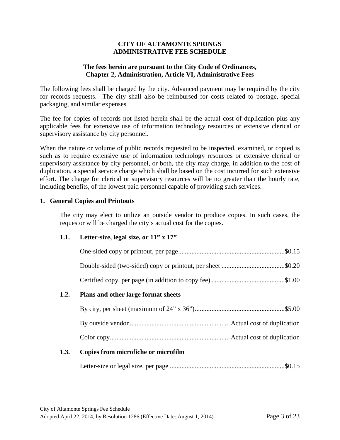#### **CITY OF ALTAMONTE SPRINGS ADMINISTRATIVE FEE SCHEDULE**

#### **The fees herein are pursuant to the City Code of Ordinances, Chapter 2, Administration, Article VI, Administrative Fees**

The following fees shall be charged by the city. Advanced payment may be required by the city for records requests. The city shall also be reimbursed for costs related to postage, special packaging, and similar expenses.

The fee for copies of records not listed herein shall be the actual cost of duplication plus any applicable fees for extensive use of information technology resources or extensive clerical or supervisory assistance by city personnel.

When the nature or volume of public records requested to be inspected, examined, or copied is such as to require extensive use of information technology resources or extensive clerical or supervisory assistance by city personnel, or both, the city may charge, in addition to the cost of duplication, a special service charge which shall be based on the cost incurred for such extensive effort. The charge for clerical or supervisory resources will be no greater than the hourly rate, including benefits, of the lowest paid personnel capable of providing such services.

#### **1. General Copies and Printouts**

The city may elect to utilize an outside vendor to produce copies. In such cases, the requestor will be charged the city's actual cost for the copies.

#### **1.1. Letter-size, legal size, or 11" x 17"**

|      | Double-sided (two-sided) copy or printout, per sheet \$0.20 |  |
|------|-------------------------------------------------------------|--|
|      |                                                             |  |
| 1.2. | Plans and other large format sheets                         |  |
|      |                                                             |  |
|      |                                                             |  |
|      |                                                             |  |
|      |                                                             |  |

#### **1.3. Copies from microfiche or microfilm**

Letter-size or legal size, per page .....................................................................\$0.15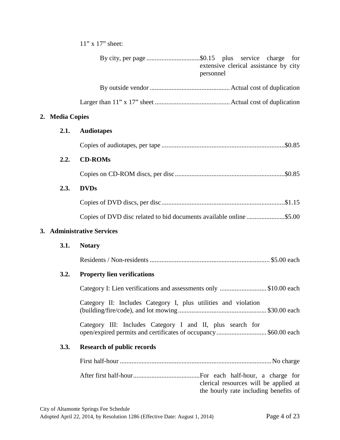11" x 17" sheet:

|    |                     | By city, per page \$0.15 plus service charge<br>for<br>extensive clerical assistance by city<br>personnel                   |
|----|---------------------|-----------------------------------------------------------------------------------------------------------------------------|
|    |                     |                                                                                                                             |
|    |                     |                                                                                                                             |
| 2. | <b>Media Copies</b> |                                                                                                                             |
|    | 2.1.                | <b>Audiotapes</b>                                                                                                           |
|    |                     |                                                                                                                             |
|    | 2.2.                | <b>CD-ROMs</b>                                                                                                              |
|    |                     |                                                                                                                             |
|    | 2.3.                | <b>DVDs</b>                                                                                                                 |
|    |                     |                                                                                                                             |
|    |                     | Copies of DVD disc related to bid documents available online \$5.00                                                         |
|    |                     | 3. Administrative Services                                                                                                  |
|    | 3.1.                | <b>Notary</b>                                                                                                               |
|    |                     |                                                                                                                             |
|    | 3.2.                | <b>Property lien verifications</b>                                                                                          |
|    |                     | Category I: Lien verifications and assessments only \$10.00 each                                                            |
|    |                     | Category II: Includes Category I, plus utilities and violation                                                              |
|    |                     | Category III: Includes Category I and II, plus search for<br>open/expired permits and certificates of occupancy\$60.00 each |
|    | 3.3.                | <b>Research of public records</b>                                                                                           |
|    |                     |                                                                                                                             |
|    |                     | clerical resources will be applied at<br>the hourly rate including benefits of                                              |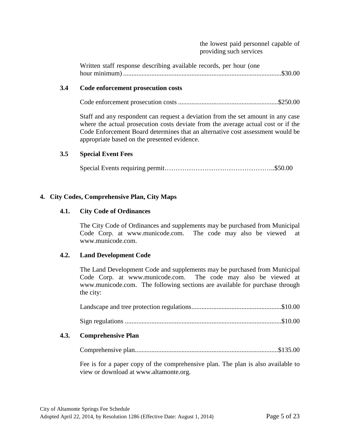the lowest paid personnel capable of providing such services

Written staff response describing available records, per hour (one hour minimum) ...............................................................................................\$30.00

#### **3.4 Code enforcement prosecution costs**

Code enforcement prosecution costs ............................................................\$250.00

Staff and any respondent can request a deviation from the set amount in any case where the actual prosecution costs deviate from the average actual cost or if the Code Enforcement Board determines that an alternative cost assessment would be appropriate based on the presented evidence.

#### **3.5 Special Event Fees**

Special Events requiring permit…………………………………………..\$50.00

#### **4. City Codes, Comprehensive Plan, City Maps**

#### **4.1. City Code of Ordinances**

The City Code of Ordinances and supplements may be purchased from Municipal Code Corp. at www.municode.com. The code may also be viewed at www.municode.com.

#### **4.2. Land Development Code**

The Land Development Code and supplements may be purchased from Municipal Code Corp. at www.municode.com. The code may also be viewed at www.municode.com. The following sections are available for purchase through the city:

Sign regulations ..............................................................................................\$10.00

#### **4.3. Comprehensive Plan**

Comprehensive plan......................................................................................\$135.00

Fee is for a paper copy of the comprehensive plan. The plan is also available to view or download at www.altamonte.org.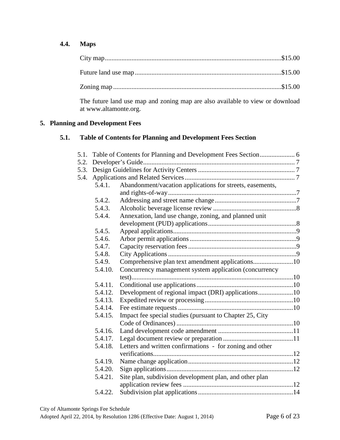#### **4.4. Maps**

The future land use map and zoning map are also available to view or download at www.altamonte.org.

#### **5. Planning and Development Fees**

#### **5.1. Table of Contents for Planning and Development Fees Section**

| 5.1.                                                              |         |                                                           |  |
|-------------------------------------------------------------------|---------|-----------------------------------------------------------|--|
| 5.2.                                                              |         |                                                           |  |
| 5.3.                                                              |         |                                                           |  |
| 5.4.                                                              |         |                                                           |  |
|                                                                   | 5.4.1.  | Abandonment/vacation applications for streets, easements, |  |
|                                                                   |         |                                                           |  |
|                                                                   | 5.4.2.  |                                                           |  |
|                                                                   | 5.4.3.  |                                                           |  |
|                                                                   | 5.4.4.  | Annexation, land use change, zoning, and planned unit     |  |
|                                                                   |         |                                                           |  |
|                                                                   | 5.4.5.  |                                                           |  |
|                                                                   | 5.4.6.  |                                                           |  |
|                                                                   | 5.4.7.  |                                                           |  |
|                                                                   | 5.4.8.  |                                                           |  |
|                                                                   | 5.4.9.  | Comprehensive plan text amendment applications10          |  |
| 5.4.10.<br>Concurrency management system application (concurrency |         |                                                           |  |
|                                                                   |         |                                                           |  |
|                                                                   | 5.4.11. |                                                           |  |
|                                                                   | 5.4.12. | Development of regional impact (DRI) applications10       |  |
|                                                                   | 5.4.13. |                                                           |  |
|                                                                   | 5.4.14. |                                                           |  |
|                                                                   | 5.4.15. | Impact fee special studies (pursuant to Chapter 25, City  |  |
|                                                                   |         |                                                           |  |
|                                                                   | 5.4.16. |                                                           |  |
|                                                                   | 5.4.17. |                                                           |  |
|                                                                   | 5.4.18. | Letters and written confirmations - for zoning and other  |  |
|                                                                   |         |                                                           |  |
|                                                                   | 5.4.19. |                                                           |  |
|                                                                   | 5.4.20. |                                                           |  |
|                                                                   | 5.4.21. | Site plan, subdivision development plan, and other plan   |  |
|                                                                   |         |                                                           |  |
|                                                                   | 5.4.22. |                                                           |  |
|                                                                   |         |                                                           |  |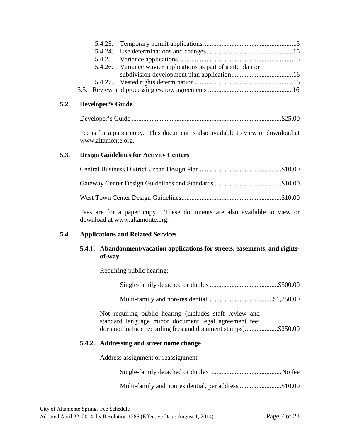|  | 5.4.26. Variance wavier applications as part of a site plan or |  |
|--|----------------------------------------------------------------|--|
|  |                                                                |  |
|  |                                                                |  |
|  |                                                                |  |

#### **5.2. Developer's Guide**

|--|--|

Fee is for a paper copy. This document is also available to view or download at www.altamonte.org.

#### **5.3. Design Guidelines for Activity Centers**

Fees are for a paper copy. These documents are also available to view or download at www.altamonte.org.

#### **5.4. Applications and Related Services**

#### **5.4.1. Abandonment/vacation applications for streets, easements, and rightsof-way**

Requiring public hearing:

Multi-family and non-residential .......................................\$1,250.00

Not requiring public hearing (includes staff review and standard language minor document legal agreement fee; does not include recording fees and document stamps)....................\$250.00

#### **5.4.2. Addressing and street name change**

Address assignment or reassignment

Multi-family and nonresidential, per address .........................\$10.00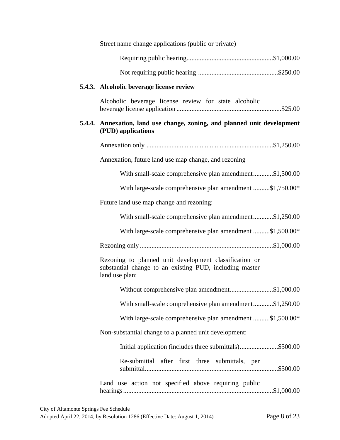| Street name change applications (public or private)                                                                                 |  |  |
|-------------------------------------------------------------------------------------------------------------------------------------|--|--|
|                                                                                                                                     |  |  |
|                                                                                                                                     |  |  |
| 5.4.3. Alcoholic beverage license review                                                                                            |  |  |
| Alcoholic beverage license review for state alcoholic                                                                               |  |  |
| 5.4.4. Annexation, land use change, zoning, and planned unit development<br>(PUD) applications                                      |  |  |
|                                                                                                                                     |  |  |
| Annexation, future land use map change, and rezoning                                                                                |  |  |
| With small-scale comprehensive plan amendment\$1,500.00                                                                             |  |  |
| With large-scale comprehensive plan amendment \$1,750.00*                                                                           |  |  |
| Future land use map change and rezoning:                                                                                            |  |  |
| With small-scale comprehensive plan amendment\$1,250.00                                                                             |  |  |
| With large-scale comprehensive plan amendment \$1,500.00*                                                                           |  |  |
|                                                                                                                                     |  |  |
| Rezoning to planned unit development classification or<br>substantial change to an existing PUD, including master<br>land use plan: |  |  |
| Without comprehensive plan amendment\$1,000.00                                                                                      |  |  |
| With small-scale comprehensive plan amendment\$1,250.00                                                                             |  |  |
| With large-scale comprehensive plan amendment \$1,500.00*                                                                           |  |  |
| Non-substantial change to a planned unit development:                                                                               |  |  |
| Initial application (includes three submittals)\$500.00                                                                             |  |  |
| Re-submittal after first three submittals, per                                                                                      |  |  |
| Land use action not specified above requiring public                                                                                |  |  |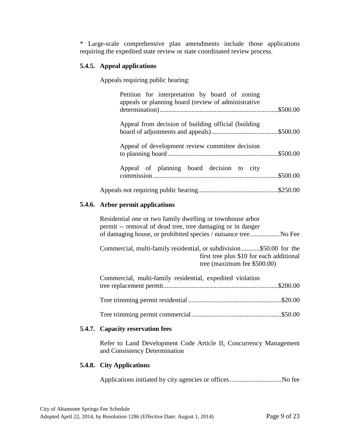\* Large-scale comprehensive plan amendments include those applications requiring the expedited state review or state coordinated review process.

#### **5.4.5. Appeal applications**

Appeals requiring public hearing:

| Petition for interpretation by board of zoning<br>appeals or planning board (review of administrative |  |
|-------------------------------------------------------------------------------------------------------|--|
| Appeal from decision of building official (building                                                   |  |
| Appeal of development review committee decision                                                       |  |
| Appeal of planning board decision to city                                                             |  |
|                                                                                                       |  |
| <b>5.4.6.</b> Arbor permit applications                                                               |  |

Residential one or two family dwelling or townhouse arbor permit -- removal of dead tree, tree damaging or in danger of damaging house, or prohibited species / nuisance tree .................. No Fee

Commercial, multi-family residential, or subdivision ...........\$50.00 for the first tree plus \$10 for each additional tree (maximum fee \$500.00)

| Commercial, multi-family residential, expedited violation |  |
|-----------------------------------------------------------|--|
|                                                           |  |

Tree trimming permit commercial ......................................................\$50.00

#### **5.4.7. Capacity reservation fees**

Refer to Land Development Code Article II, Concurrency Management and Consistency Determination

#### **5.4.8. City Applications**

Applications initiated by city agencies or offices ............................... No fee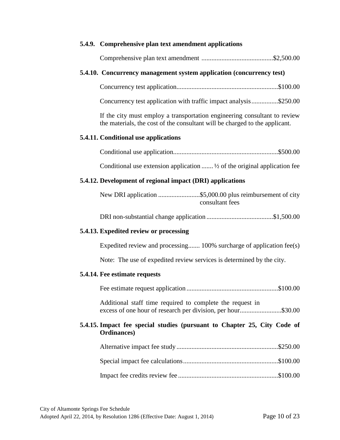#### **5.4.9. Comprehensive plan text amendment applications**

|--|--|--|--|

#### **5.4.10. Concurrency management system application (concurrency test)**

Concurrency test application.............................................................\$100.00

Concurrency test application with traffic impact analysis ................\$250.00

If the city must employ a transportation engineering consultant to review the materials, the cost of the consultant will be charged to the applicant.

#### **5.4.11. Conditional use applications**

|--|--|

Conditional use extension application ....... ½ of the original application fee

#### **5.4.12. Development of regional impact (DRI) applications**

| consultant fees |
|-----------------|

DRI non-substantial change application ........................................\$1,500.00

#### **5.4.13. Expedited review or processing**

Expedited review and processing....... 100% surcharge of application fee(s)

Note: The use of expedited review services is determined by the city.

#### **5.4.14. Fee estimate requests**

Fee estimate request application .......................................................\$100.00

Additional staff time required to complete the request in excess of one hour of research per division, per hour .........................\$30.00

#### **5.4.15. Impact fee special studies (pursuant to Chapter 25, City Code of Ordinances)**

Impact fee credits review fee ............................................................\$100.00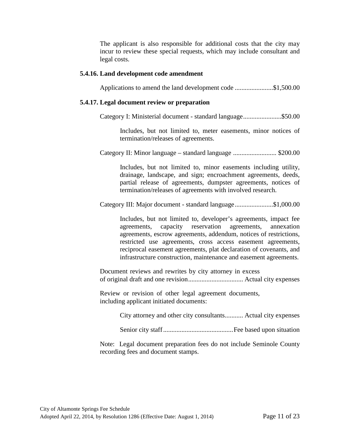The applicant is also responsible for additional costs that the city may incur to review these special requests, which may include consultant and legal costs.

#### **5.4.16. Land development code amendment**

Applications to amend the land development code .......................\$1,500.00

#### **5.4.17. Legal document review or preparation**

Category I: Ministerial document - standard language .......................\$50.00

Includes, but not limited to, meter easements, minor notices of termination/releases of agreements.

Category II: Minor language – standard language .......................... \$200.00

Includes, but not limited to, minor easements including utility, drainage, landscape, and sign; encroachment agreements, deeds, partial release of agreements, dumpster agreements, notices of termination/releases of agreements with involved research.

Category III: Major document - standard language .......................\$1,000.00

Includes, but not limited to, developer's agreements, impact fee agreements, capacity reservation agreements, annexation agreements, escrow agreements, addendum, notices of restrictions, restricted use agreements, cross access easement agreements, reciprocal easement agreements, plat declaration of covenants, and infrastructure construction, maintenance and easement agreements.

Document reviews and rewrites by city attorney in excess of original draft and one revision ................................. Actual city expenses

Review or revision of other legal agreement documents, including applicant initiated documents:

City attorney and other city consultants........... Actual city expenses

Senior city staff .......................................... Fee based upon situation

Note: Legal document preparation fees do not include Seminole County recording fees and document stamps.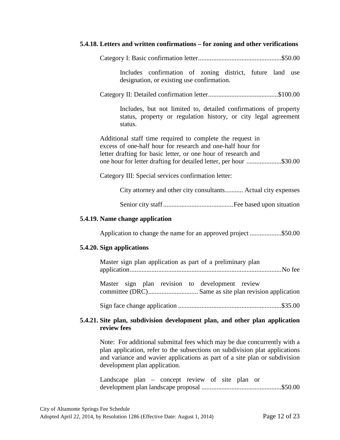| 5.4.18. Letters and written confirmations – for zoning and other verifications                                                                                                                                                                                 |  |  |
|----------------------------------------------------------------------------------------------------------------------------------------------------------------------------------------------------------------------------------------------------------------|--|--|
|                                                                                                                                                                                                                                                                |  |  |
| Includes confirmation of zoning district, future land use<br>designation, or existing use confirmation.                                                                                                                                                        |  |  |
|                                                                                                                                                                                                                                                                |  |  |
| Includes, but not limited to, detailed confirmations of property<br>status, property or regulation history, or city legal agreement<br>status.                                                                                                                 |  |  |
| Additional staff time required to complete the request in<br>excess of one-half hour for research and one-half hour for<br>letter drafting for basic letter, or one hour of research and<br>one hour for letter drafting for detailed letter, per hour \$30.00 |  |  |
| Category III: Special services confirmation letter:                                                                                                                                                                                                            |  |  |
| City attorney and other city consultants Actual city expenses                                                                                                                                                                                                  |  |  |
|                                                                                                                                                                                                                                                                |  |  |
| 5.4.19. Name change application                                                                                                                                                                                                                                |  |  |
| Application to change the name for an approved project\$50.00                                                                                                                                                                                                  |  |  |
| 5.4.20. Sign applications                                                                                                                                                                                                                                      |  |  |
| Master sign plan application as part of a preliminary plan                                                                                                                                                                                                     |  |  |
| Master sign plan revision to development review                                                                                                                                                                                                                |  |  |
|                                                                                                                                                                                                                                                                |  |  |
| 5.4.21. Site plan, subdivision development plan, and other plan application<br>review fees                                                                                                                                                                     |  |  |

Note: For additional submittal fees which may be due concurrently with a plan application, refer to the subsections on subdivision plat applications and variance and wavier applications as part of a site plan or subdivision development plan application.

Landscape plan – concept review of site plan or development plan landscape proposal ................................................\$50.00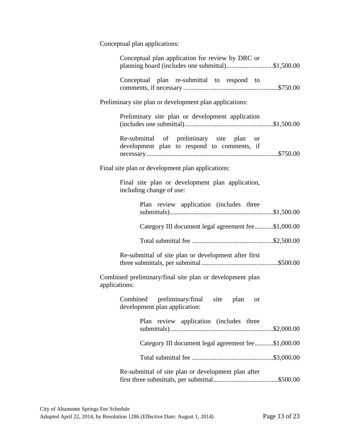Conceptual plan applications:

| Conceptual plan application for review by DRC or<br>planning board (includes one submittal)\$1,500.00 |  |  |  |
|-------------------------------------------------------------------------------------------------------|--|--|--|
| Conceptual plan re-submittal to respond to                                                            |  |  |  |
| Preliminary site plan or development plan applications:                                               |  |  |  |
| Preliminary site plan or development application                                                      |  |  |  |
| Re-submittal of preliminary site plan or<br>development plan to respond to comments, if               |  |  |  |
| Final site plan or development plan applications:                                                     |  |  |  |
| Final site plan or development plan application,<br>including change of use:                          |  |  |  |
| Plan review application (includes three                                                               |  |  |  |
| Category III document legal agreement fee\$1,000.00                                                   |  |  |  |
|                                                                                                       |  |  |  |
| Re-submittal of site plan or development after first                                                  |  |  |  |
| Combined preliminary/final site plan or development plan<br>applications:                             |  |  |  |
| Combined preliminary/final site plan<br>or<br>development plan application:                           |  |  |  |
| Plan review application (includes three                                                               |  |  |  |
| Category III document legal agreement fee\$1,000.00                                                   |  |  |  |
|                                                                                                       |  |  |  |
| Re-submittal of site plan or development plan after                                                   |  |  |  |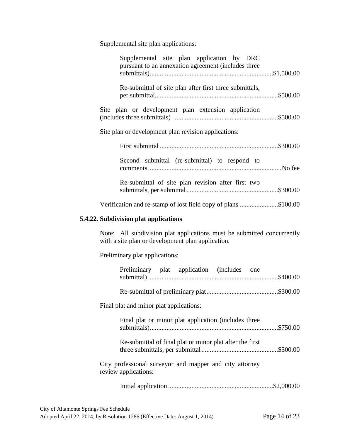Supplemental site plan applications:

| Supplemental site plan application by DRC<br>pursuant to an annexation agreement (includes three                            |  |
|-----------------------------------------------------------------------------------------------------------------------------|--|
| Re-submittal of site plan after first three submittals,                                                                     |  |
| Site plan or development plan extension application                                                                         |  |
| Site plan or development plan revision applications:                                                                        |  |
|                                                                                                                             |  |
| Second submittal (re-submittal) to respond to                                                                               |  |
| Re-submittal of site plan revision after first two                                                                          |  |
| Verification and re-stamp of lost field copy of plans \$100.00                                                              |  |
| 5.4.22. Subdivision plat applications                                                                                       |  |
| Note: All subdivision plat applications must be submitted concurrently<br>with a site plan or development plan application. |  |
| Preliminary plat applications:                                                                                              |  |
| Preliminary plat application (includes one                                                                                  |  |
|                                                                                                                             |  |
| Final plat and minor plat applications:                                                                                     |  |
| Final plat or minor plat application (includes three                                                                        |  |
| Re-submittal of final plat or minor plat after the first                                                                    |  |
| City professional surveyor and mapper and city attorney<br>review applications:                                             |  |
|                                                                                                                             |  |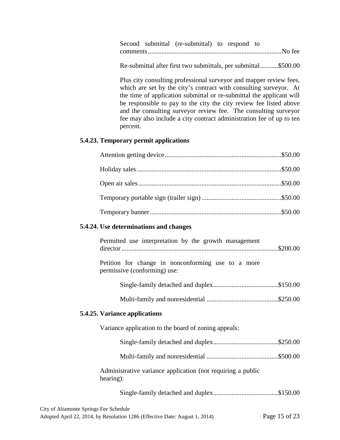Second submittal (re-submittal) to respond to comments ................................................................................ No fee

Re-submittal after first two submittals, per submittal ...........\$500.00

Plus city consulting professional surveyor and mapper review fees, which are set by the city's contract with consulting surveyor. At the time of application submittal or re-submittal the applicant will be responsible to pay to the city the city review fee listed above and the consulting surveyor review fee. The consulting surveyor fee may also include a city contract administration fee of up to ten percent.

#### **5.4.23. Temporary permit applications**

| 5.4.24. Use determinations and changes                                             |
|------------------------------------------------------------------------------------|
| Permitted use interpretation by the growth management                              |
| Petition for change in nonconforming use to a more<br>permissive (conforming) use: |
|                                                                                    |
|                                                                                    |
| 5.4.25. Variance applications                                                      |
| Variance application to the board of zoning appeals:                               |
|                                                                                    |
|                                                                                    |
| Administrative variance application (not requiring a public<br>hearing):           |
|                                                                                    |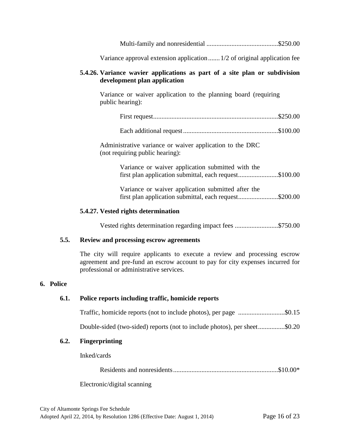Multi-family and nonresidential ...........................................\$250.00

Variance approval extension application ....... 1/2 of original application fee

#### **5.4.26. Variance wavier applications as part of a site plan or subdivision development plan application**

Variance or waiver application to the planning board (requiring public hearing):

|--|--|--|

Administrative variance or waiver application to the DRC (not requiring public hearing):

|  | Variance or waiver application submitted with the |                                                        |  |
|--|---------------------------------------------------|--------------------------------------------------------|--|
|  |                                                   | first plan application submittal, each request\$100.00 |  |

Variance or waiver application submitted after the first plan application submittal, each request.........................\$200.00

#### **5.4.27. Vested rights determination**

Vested rights determination regarding impact fees ..........................\$750.00

#### **5.5. Review and processing escrow agreements**

The city will require applicants to execute a review and processing escrow agreement and pre-fund an escrow account to pay for city expenses incurred for professional or administrative services.

#### **6. Police**

#### **6.1. Police reports including traffic, homicide reports**

|  |  |  |  | Traffic, homicide reports (not to include photos), per page \$0.15 |
|--|--|--|--|--------------------------------------------------------------------|
|--|--|--|--|--------------------------------------------------------------------|

Double-sided (two-sided) reports (not to include photos), per sheet................\$0.20

#### **6.2. Fingerprinting**

Inked/cards

Residents and nonresidents ...............................................................\$10.00\*

Electronic/digital scanning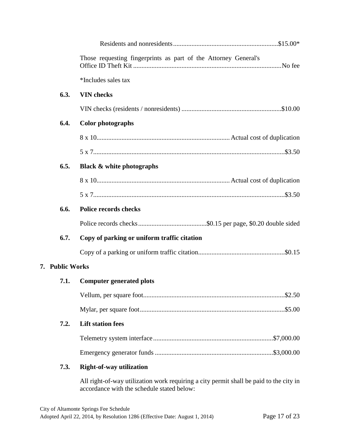|                     | Those requesting fingerprints as part of the Attorney General's |
|---------------------|-----------------------------------------------------------------|
|                     | *Includes sales tax                                             |
| 6.3.                | <b>VIN</b> checks                                               |
|                     |                                                                 |
| 6.4.                | <b>Color photographs</b>                                        |
|                     |                                                                 |
|                     |                                                                 |
| 6.5.                | <b>Black &amp; white photographs</b>                            |
|                     |                                                                 |
|                     |                                                                 |
| 6.6.                | <b>Police records checks</b>                                    |
|                     |                                                                 |
| 6.7.                | Copy of parking or uniform traffic citation                     |
|                     |                                                                 |
| <b>Public Works</b> |                                                                 |
| 7.1.                | <b>Computer generated plots</b>                                 |
|                     |                                                                 |
|                     |                                                                 |
| 7.2.                | <b>Lift station fees</b>                                        |
|                     |                                                                 |
|                     |                                                                 |
| 7.3.                | <b>Right-of-way utilization</b>                                 |

All right-of-way utilization work requiring a city permit shall be paid to the city in accordance with the schedule stated below:

**7. Public Works**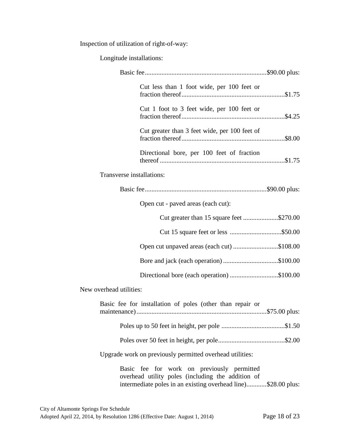Inspection of utilization of right-of-way:

Longitude installations:

|                           | Cut less than 1 foot wide, per 100 feet or                                                                                                                       |  |
|---------------------------|------------------------------------------------------------------------------------------------------------------------------------------------------------------|--|
|                           | Cut 1 foot to 3 feet wide, per 100 feet or                                                                                                                       |  |
|                           | Cut greater than 3 feet wide, per 100 feet of                                                                                                                    |  |
|                           | Directional bore, per 100 feet of fraction                                                                                                                       |  |
| Transverse installations: |                                                                                                                                                                  |  |
|                           |                                                                                                                                                                  |  |
|                           | Open cut - paved areas (each cut):                                                                                                                               |  |
|                           | Cut greater than 15 square feet \$270.00                                                                                                                         |  |
|                           |                                                                                                                                                                  |  |
|                           | Open cut unpaved areas (each cut) \$108.00                                                                                                                       |  |
|                           | Bore and jack (each operation)\$100.00                                                                                                                           |  |
|                           | Directional bore (each operation) \$100.00                                                                                                                       |  |
| New overhead utilities:   |                                                                                                                                                                  |  |
|                           | Basic fee for installation of poles (other than repair or                                                                                                        |  |
|                           |                                                                                                                                                                  |  |
|                           |                                                                                                                                                                  |  |
|                           | Upgrade work on previously permitted overhead utilities:                                                                                                         |  |
|                           | Basic fee for work on previously permitted<br>overhead utility poles (including the addition of<br>intermediate poles in an existing overhead line)\$28.00 plus: |  |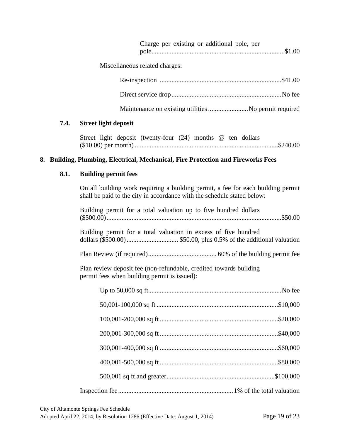|  | Charge per existing or additional pole, per |  |
|--|---------------------------------------------|--|
|  |                                             |  |

Miscellaneous related charges:

#### **7.4. Street light deposit**

|  | Street light deposit (twenty-four $(24)$ months $@$ ten dollars |  |  |  |
|--|-----------------------------------------------------------------|--|--|--|
|  |                                                                 |  |  |  |

#### **8. Building, Plumbing, Electrical, Mechanical, Fire Protection and Fireworks Fees**

#### **8.1. Building permit fees**

On all building work requiring a building permit, a fee for each building permit shall be paid to the city in accordance with the schedule stated below:

| Building permit for a total valuation up to five hundred dollars                                                   |
|--------------------------------------------------------------------------------------------------------------------|
| Building permit for a total valuation in excess of five hundred                                                    |
|                                                                                                                    |
| Plan review deposit fee (non-refundable, credited towards building<br>permit fees when building permit is issued): |
|                                                                                                                    |
|                                                                                                                    |
|                                                                                                                    |
|                                                                                                                    |
|                                                                                                                    |
|                                                                                                                    |
|                                                                                                                    |
|                                                                                                                    |

City of Altamonte Springs Fee Schedule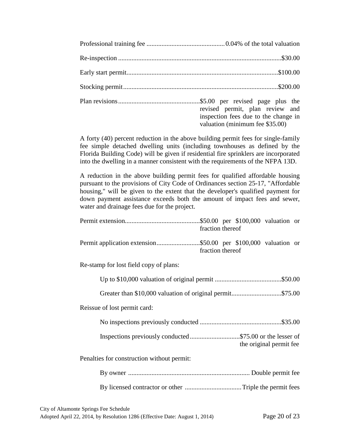| revised permit, plan review and<br>inspection fees due to the change in<br>valuation (minimum fee \$35.00) |
|------------------------------------------------------------------------------------------------------------|

A forty (40) percent reduction in the above building permit fees for single-family fee simple detached dwelling units (including townhouses as defined by the Florida Building Code) will be given if residential fire sprinklers are incorporated into the dwelling in a manner consistent with the requirements of the NFPA 13D.

A reduction in the above building permit fees for qualified affordable housing pursuant to the provisions of City Code of Ordinances section 25-17, "Affordable housing," will be given to the extent that the developer's qualified payment for down payment assistance exceeds both the amount of impact fees and sewer, water and drainage fees due for the project.

| fraction thereof                           |
|--------------------------------------------|
| fraction thereof                           |
| Re-stamp for lost field copy of plans:     |
|                                            |
|                                            |
| Reissue of lost permit card:               |
|                                            |
| the original permit fee                    |
| Penalties for construction without permit: |
|                                            |
|                                            |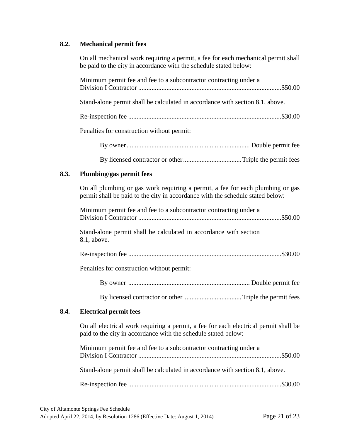#### **8.2. Mechanical permit fees**

On all mechanical work requiring a permit, a fee for each mechanical permit shall be paid to the city in accordance with the schedule stated below:

|      | Minimum permit fee and fee to a subcontractor contracting under a                                                                                                |
|------|------------------------------------------------------------------------------------------------------------------------------------------------------------------|
|      | Stand-alone permit shall be calculated in accordance with section 8.1, above.                                                                                    |
|      |                                                                                                                                                                  |
|      | Penalties for construction without permit:                                                                                                                       |
|      |                                                                                                                                                                  |
|      |                                                                                                                                                                  |
| 8.3. | Plumbing/gas permit fees                                                                                                                                         |
|      | On all plumbing or gas work requiring a permit, a fee for each plumbing or gas<br>permit shall be paid to the city in accordance with the schedule stated below: |
|      | Minimum permit fee and fee to a subcontractor contracting under a                                                                                                |
|      | Stand-alone permit shall be calculated in accordance with section<br>8.1, above.                                                                                 |
|      |                                                                                                                                                                  |
|      | Penalties for construction without permit:                                                                                                                       |
|      |                                                                                                                                                                  |
|      |                                                                                                                                                                  |
| 8.4. | <b>Electrical permit fees</b>                                                                                                                                    |
|      | On all electrical work requiring a permit, a fee for each electrical permit shall be<br>paid to the city in accordance with the schedule stated below:           |
|      | Minimum permit fee and fee to a subcontractor contracting under a                                                                                                |
|      | Stand-alone permit shall be calculated in accordance with section 8.1, above.                                                                                    |
|      |                                                                                                                                                                  |

**8.4.**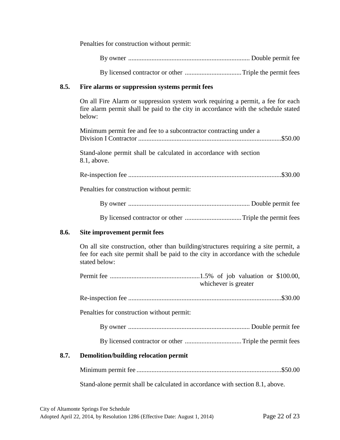Penalties for construction without permit:

By licensed contractor or other .................................. Triple the permit fees

#### **8.5. Fire alarms or suppression systems permit fees**

On all Fire Alarm or suppression system work requiring a permit, a fee for each fire alarm permit shall be paid to the city in accordance with the schedule stated below:

| Minimum permit fee and fee to a subcontractor contracting under a                |
|----------------------------------------------------------------------------------|
| Stand-alone permit shall be calculated in accordance with section<br>8.1, above. |
|                                                                                  |
| Penalties for construction without permit:                                       |
|                                                                                  |
|                                                                                  |
|                                                                                  |

#### **8.6. Site improvement permit fees**

On all site construction, other than building/structures requiring a site permit, a fee for each site permit shall be paid to the city in accordance with the schedule stated below:

|      |                                            | whichever is greater |
|------|--------------------------------------------|----------------------|
|      |                                            |                      |
|      | Penalties for construction without permit: |                      |
|      |                                            |                      |
|      |                                            |                      |
| 8.7. | Demolition/building relocation permit      |                      |

Minimum permit fee .......................................................................................\$50.00

Stand-alone permit shall be calculated in accordance with section 8.1, above.